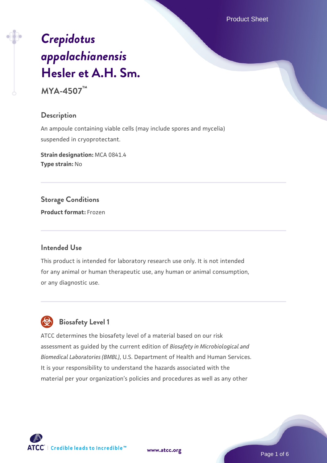Product Sheet

# *[Crepidotus](https://www.atcc.org/products/mya-4507) [appalachianensis](https://www.atcc.org/products/mya-4507)* **[Hesler et A.H. Sm.](https://www.atcc.org/products/mya-4507)**

**MYA-4507™**

## **Description**

An ampoule containing viable cells (may include spores and mycelia) suspended in cryoprotectant.

**Strain designation:** MCA 0841.4 **Type strain:** No

**Storage Conditions**

**Product format:** Frozen

## **Intended Use**

This product is intended for laboratory research use only. It is not intended for any animal or human therapeutic use, any human or animal consumption, or any diagnostic use.



 **Biosafety Level 1**

ATCC determines the biosafety level of a material based on our risk assessment as guided by the current edition of *Biosafety in Microbiological and Biomedical Laboratories (BMBL)*, U.S. Department of Health and Human Services. It is your responsibility to understand the hazards associated with the material per your organization's policies and procedures as well as any other

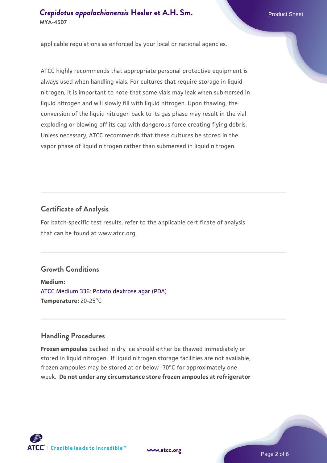## **[Crepidotus appalachianensis](https://www.atcc.org/products/mya-4507) [Hesler et A.H. Sm.](https://www.atcc.org/products/mya-4507)** Product Sheet **MYA-4507**

applicable regulations as enforced by your local or national agencies.

ATCC highly recommends that appropriate personal protective equipment is always used when handling vials. For cultures that require storage in liquid nitrogen, it is important to note that some vials may leak when submersed in liquid nitrogen and will slowly fill with liquid nitrogen. Upon thawing, the conversion of the liquid nitrogen back to its gas phase may result in the vial exploding or blowing off its cap with dangerous force creating flying debris. Unless necessary, ATCC recommends that these cultures be stored in the vapor phase of liquid nitrogen rather than submersed in liquid nitrogen.

## **Certificate of Analysis**

For batch-specific test results, refer to the applicable certificate of analysis that can be found at www.atcc.org.

## **Growth Conditions**

**Medium:**  [ATCC Medium 336: Potato dextrose agar \(PDA\)](https://www.atcc.org/-/media/product-assets/documents/microbial-media-formulations/3/3/6/atcc-medium-336.pdf?rev=d9160ad44d934cd8b65175461abbf3b9) **Temperature:** 20-25°C

## **Handling Procedures**

**Frozen ampoules** packed in dry ice should either be thawed immediately or stored in liquid nitrogen. If liquid nitrogen storage facilities are not available, frozen ampoules may be stored at or below -70°C for approximately one week. **Do not under any circumstance store frozen ampoules at refrigerator**



**[www.atcc.org](http://www.atcc.org)**

Page 2 of 6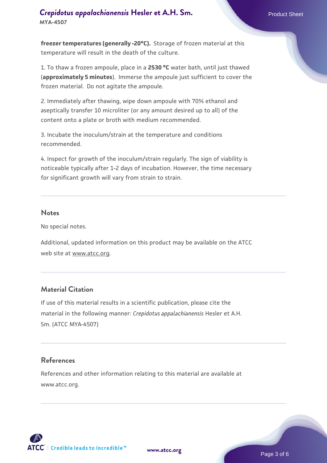## **[Crepidotus appalachianensis](https://www.atcc.org/products/mya-4507) [Hesler et A.H. Sm.](https://www.atcc.org/products/mya-4507)** Product Sheet **MYA-4507**

**freezer temperatures (generally -20°C).** Storage of frozen material at this temperature will result in the death of the culture.

1. To thaw a frozen ampoule, place in a **2530 °C** water bath, until just thawed (**approximately 5 minutes**). Immerse the ampoule just sufficient to cover the frozen material. Do not agitate the ampoule.

2. Immediately after thawing, wipe down ampoule with 70% ethanol and aseptically transfer 10 microliter (or any amount desired up to all) of the content onto a plate or broth with medium recommended.

3. Incubate the inoculum/strain at the temperature and conditions recommended.

4. Inspect for growth of the inoculum/strain regularly. The sign of viability is noticeable typically after 1-2 days of incubation. However, the time necessary for significant growth will vary from strain to strain.

#### **Notes**

No special notes.

Additional, updated information on this product may be available on the ATCC web site at www.atcc.org.

## **Material Citation**

If use of this material results in a scientific publication, please cite the material in the following manner: *Crepidotus appalachianensis* Hesler et A.H. Sm. (ATCC MYA-4507)

## **References**

References and other information relating to this material are available at www.atcc.org.





Page 3 of 6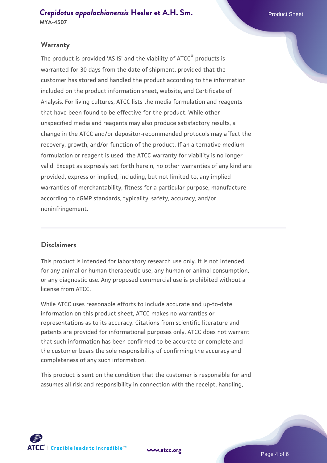#### **Warranty**

The product is provided 'AS IS' and the viability of ATCC<sup>®</sup> products is warranted for 30 days from the date of shipment, provided that the customer has stored and handled the product according to the information included on the product information sheet, website, and Certificate of Analysis. For living cultures, ATCC lists the media formulation and reagents that have been found to be effective for the product. While other unspecified media and reagents may also produce satisfactory results, a change in the ATCC and/or depositor-recommended protocols may affect the recovery, growth, and/or function of the product. If an alternative medium formulation or reagent is used, the ATCC warranty for viability is no longer valid. Except as expressly set forth herein, no other warranties of any kind are provided, express or implied, including, but not limited to, any implied warranties of merchantability, fitness for a particular purpose, manufacture according to cGMP standards, typicality, safety, accuracy, and/or noninfringement.

## **Disclaimers**

This product is intended for laboratory research use only. It is not intended for any animal or human therapeutic use, any human or animal consumption, or any diagnostic use. Any proposed commercial use is prohibited without a license from ATCC.

While ATCC uses reasonable efforts to include accurate and up-to-date information on this product sheet, ATCC makes no warranties or representations as to its accuracy. Citations from scientific literature and patents are provided for informational purposes only. ATCC does not warrant that such information has been confirmed to be accurate or complete and the customer bears the sole responsibility of confirming the accuracy and completeness of any such information.

This product is sent on the condition that the customer is responsible for and assumes all risk and responsibility in connection with the receipt, handling,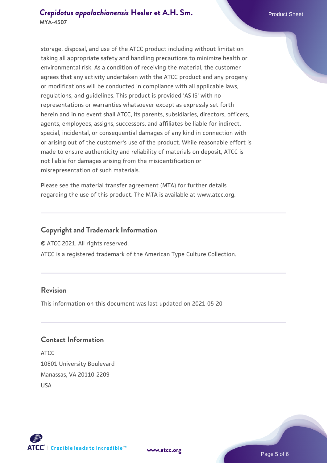storage, disposal, and use of the ATCC product including without limitation taking all appropriate safety and handling precautions to minimize health or environmental risk. As a condition of receiving the material, the customer agrees that any activity undertaken with the ATCC product and any progeny or modifications will be conducted in compliance with all applicable laws, regulations, and guidelines. This product is provided 'AS IS' with no representations or warranties whatsoever except as expressly set forth herein and in no event shall ATCC, its parents, subsidiaries, directors, officers, agents, employees, assigns, successors, and affiliates be liable for indirect, special, incidental, or consequential damages of any kind in connection with or arising out of the customer's use of the product. While reasonable effort is made to ensure authenticity and reliability of materials on deposit, ATCC is not liable for damages arising from the misidentification or misrepresentation of such materials.

Please see the material transfer agreement (MTA) for further details regarding the use of this product. The MTA is available at www.atcc.org.

## **Copyright and Trademark Information**

© ATCC 2021. All rights reserved.

ATCC is a registered trademark of the American Type Culture Collection.

## **Revision**

This information on this document was last updated on 2021-05-20

## **Contact Information**

ATCC 10801 University Boulevard Manassas, VA 20110-2209 USA